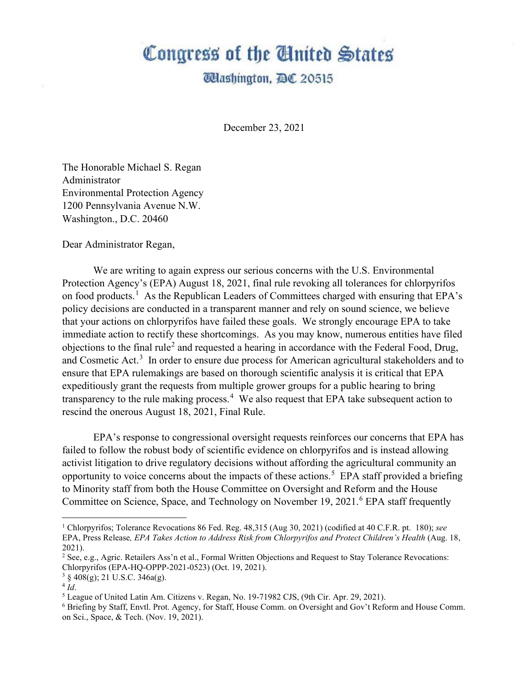## Congress of the Ginited States

**Washington, DC 20515** 

December 23, 2021

The Honorable Michael S. Regan Administrator Environmental Protection Agency 1200 Pennsylvania Avenue N.W. Washington., D.C. 20460

Dear Administrator Regan,

We are writing to again express our serious concerns with the U.S. Environmental Protection Agency's (EPA) August 18, 2021, final rule revoking all tolerances for chlorpyrifos on food products.<sup>[1](#page-0-0)</sup> As the Republican Leaders of Committees charged with ensuring that EPA's policy decisions are conducted in a transparent manner and rely on sound science, we believe that your actions on chlorpyrifos have failed these goals. We strongly encourage EPA to take immediate action to rectify these shortcomings. As you may know, numerous entities have filed objections to the final rule<sup>[2](#page-0-1)</sup> and requested a hearing in accordance with the Federal Food, Drug, and Cosmetic Act.<sup>[3](#page-0-2)</sup> In order to ensure due process for American agricultural stakeholders and to ensure that EPA rulemakings are based on thorough scientific analysis it is critical that EPA expeditiously grant the requests from multiple grower groups for a public hearing to bring transparency to the rule making process.<sup>[4](#page-0-3)</sup> We also request that EPA take subsequent action to rescind the onerous August 18, 2021, Final Rule.

EPA's response to congressional oversight requests reinforces our concerns that EPA has failed to follow the robust body of scientific evidence on chlorpyrifos and is instead allowing activist litigation to drive regulatory decisions without affording the agricultural community an opportunity to voice concerns about the impacts of these actions. [5](#page-0-4) EPA staff provided a briefing to Minority staff from both the House Committee on Oversight and Reform and the House Committee on Science, Space, and Technology on November 19, 2021.<sup>[6](#page-0-5)</sup> EPA staff frequently

<span id="page-0-0"></span><sup>1</sup> Chlorpyrifos; Tolerance Revocations 86 Fed. Reg. 48,315 (Aug 30, 2021) (codified at 40 C.F.R. pt. 180); *see* EPA, Press Release*, EPA Takes Action to Address Risk from Chlorpyrifos and Protect Children's Health* (Aug. 18, 2021).

<span id="page-0-1"></span><sup>&</sup>lt;sup>2</sup> See, e.g., Agric. Retailers Ass'n et al., Formal Written Objections and Request to Stay Tolerance Revocations: Chlorpyrifos (EPA-HQ-OPPP-2021-0523) (Oct. 19, 2021).

<span id="page-0-2"></span> $3 \S 408(g)$ ; 21 U.S.C. 346a(g).

<span id="page-0-3"></span> $4\tilde{I}d$ .

<span id="page-0-4"></span><sup>5</sup> League of United Latin Am. Citizens v. Regan, No. 19-71982 CJS, (9th Cir. Apr. 29, 2021).

<span id="page-0-5"></span><sup>6</sup> Briefing by Staff, Envtl. Prot. Agency, for Staff, House Comm. on Oversight and Gov't Reform and House Comm. on Sci., Space, & Tech. (Nov. 19, 2021).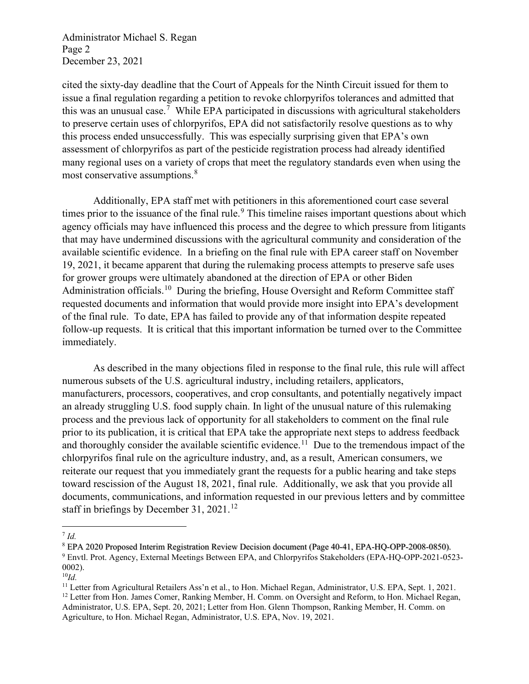Administrator Michael S. Regan Page 2 December 23, 2021

cited the sixty-day deadline that the Court of Appeals for the Ninth Circuit issued for them to issue a final regulation regarding a petition to revoke chlorpyrifos tolerances and admitted that this was an unusual case.[7](#page-1-0) While EPA participated in discussions with agricultural stakeholders to preserve certain uses of chlorpyrifos, EPA did not satisfactorily resolve questions as to why this process ended unsuccessfully. This was especially surprising given that EPA's own assessment of chlorpyrifos as part of the pesticide registration process had already identified many regional uses on a variety of crops that meet the regulatory standards even when using the most conservative assumptions.<sup>[8](#page-1-1)</sup>

Additionally, EPA staff met with petitioners in this aforementioned court case several times prior to the issuance of the final rule.<sup>[9](#page-1-2)</sup> This timeline raises important questions about which agency officials may have influenced this process and the degree to which pressure from litigants that may have undermined discussions with the agricultural community and consideration of the available scientific evidence. In a briefing on the final rule with EPA career staff on November 19, 2021, it became apparent that during the rulemaking process attempts to preserve safe uses for grower groups were ultimately abandoned at the direction of EPA or other Biden Administration officials.<sup>10</sup> During the briefing, House Oversight and Reform Committee staff requested documents and information that would provide more insight into EPA's development of the final rule. To date, EPA has failed to provide any of that information despite repeated follow-up requests. It is critical that this important information be turned over to the Committee immediately.

As described in the many objections filed in response to the final rule, this rule will affect numerous subsets of the U.S. agricultural industry, including retailers, applicators, manufacturers, processors, cooperatives, and crop consultants, and potentially negatively impact an already struggling U.S. food supply chain. In light of the unusual nature of this rulemaking process and the previous lack of opportunity for all stakeholders to comment on the final rule prior to its publication, it is critical that EPA take the appropriate next steps to address feedback and thoroughly consider the available scientific evidence.<sup>11</sup> Due to the tremendous impact of the chlorpyrifos final rule on the agriculture industry, and, as a result, American consumers, we reiterate our request that you immediately grant the requests for a public hearing and take steps toward rescission of the August 18, 2021, final rule. Additionally, we ask that you provide all documents, communications, and information requested in our previous letters and by committee staff in briefings by December 31, 2021.<sup>[12](#page-1-5)</sup>

<span id="page-1-0"></span> $^7$  *Id.* 

<span id="page-1-2"></span><span id="page-1-1"></span><sup>8</sup> EPA 2020 Proposed Interim Registration Review Decision document (Page 40-41, EPA-HQ-OPP-2008-0850). <sup>9</sup> Envtl. Prot. Agency, External Meetings Between EPA, and Chlorpyrifos Stakeholders (EPA-HQ-OPP-2021-0523- 0002).

<span id="page-1-3"></span><sup>10</sup>*Id.*

<span id="page-1-5"></span><span id="page-1-4"></span><sup>&</sup>lt;sup>11</sup> Letter from Agricultural Retailers Ass'n et al., to Hon. Michael Regan, Administrator, U.S. EPA, Sept. 1, 2021. <sup>12</sup> Letter from Hon. James Comer, Ranking Member, H. Comm. on Oversight and Reform, to Hon. Michael Regan, Administrator, U.S. EPA, Sept. 20, 2021; Letter from Hon. Glenn Thompson, Ranking Member, H. Comm. on Agriculture, to Hon. Michael Regan, Administrator, U.S. EPA, Nov. 19, 2021.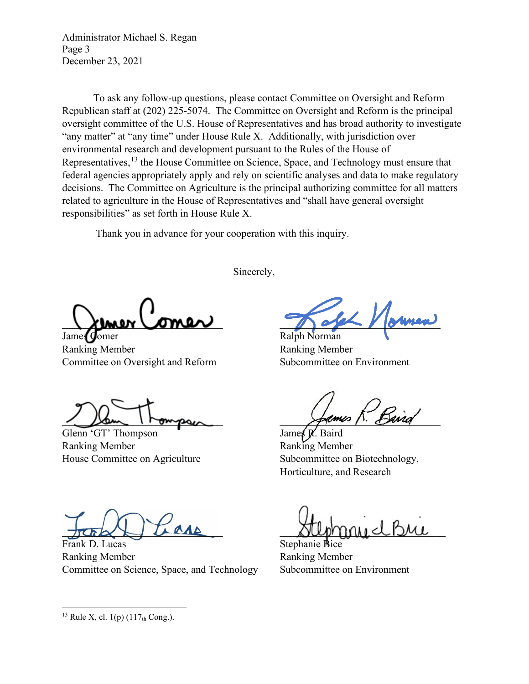Administrator Michael S. Regan Page 3 December 23, 2021

To ask any follow-up questions, please contact Committee on Oversight and Reform Republican staff at (202) 225-5074. The Committee on Oversight and Reform is the principal oversight committee of the U.S. House of Representatives and has broad authority to investigate "any matter" at "any time" under House Rule X. Additionally, with jurisdiction over environmental research and development pursuant to the Rules of the House of Representatives,<sup>[13](#page-2-0)</sup> the House Committee on Science, Space, and Technology must ensure that federal agencies appropriately apply and rely on scientific analyses and data to make regulatory decisions. The Committee on Agriculture is the principal authorizing committee for all matters related to agriculture in the House of Representatives and "shall have general oversight responsibilities" as set forth in House Rule X.

Thank you in advance for your cooperation with this inquiry.

Sincerely,

 $\setminus$  ximer comer

James Comer Ralph Norman Ranking Member Ranking Member Committee on Oversight and Reform Subcommittee on Environment

1 Dam I rompsur games / Band

Glenn 'GT' Thompson Ranking Member **Ranking Member** House Committee on Agriculture Subcommittee on Biotechnology,

Horticulture, and Research

Frank D. Lucas Stephanie Bice Ranking Member **Ranking Member** Committee on Science, Space, and Technology Subcommittee on Environment

 $Id$  BML

<span id="page-2-0"></span><sup>&</sup>lt;sup>13</sup> Rule X, cl. 1(p)  $(117<sub>th</sub> Cong.)$ .